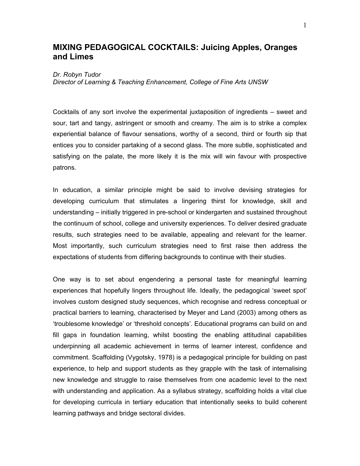# **MIXING PEDAGOGICAL COCKTAILS: Juicing Apples, Oranges and Limes**

#### *Dr. Robyn Tudor*

*Director of Learning & Teaching Enhancement, College of Fine Arts UNSW*

Cocktails of any sort involve the experimental juxtaposition of ingredients – sweet and sour, tart and tangy, astringent or smooth and creamy. The aim is to strike a complex experiential balance of flavour sensations, worthy of a second, third or fourth sip that entices you to consider partaking of a second glass. The more subtle, sophisticated and satisfying on the palate, the more likely it is the mix will win favour with prospective patrons.

In education, a similar principle might be said to involve devising strategies for developing curriculum that stimulates a lingering thirst for knowledge, skill and understanding – initially triggered in pre-school or kindergarten and sustained throughout the continuum of school, college and university experiences. To deliver desired graduate results, such strategies need to be available, appealing and relevant for the learner. Most importantly, such curriculum strategies need to first raise then address the expectations of students from differing backgrounds to continue with their studies.

One way is to set about engendering a personal taste for meaningful learning experiences that hopefully lingers throughout life. Ideally, the pedagogical 'sweet spot' involves custom designed study sequences, which recognise and redress conceptual or practical barriers to learning, characterised by Meyer and Land (2003) among others as 'troublesome knowledge' or 'threshold concepts'. Educational programs can build on and fill gaps in foundation learning, whilst boosting the enabling attitudinal capabilities underpinning all academic achievement in terms of learner interest, confidence and commitment. Scaffolding (Vygotsky, 1978) is a pedagogical principle for building on past experience, to help and support students as they grapple with the task of internalising new knowledge and struggle to raise themselves from one academic level to the next with understanding and application. As a syllabus strategy, scaffolding holds a vital clue for developing curricula in tertiary education that intentionally seeks to build coherent learning pathways and bridge sectoral divides.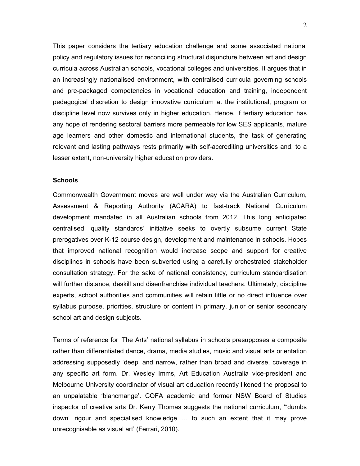This paper considers the tertiary education challenge and some associated national policy and regulatory issues for reconciling structural disjuncture between art and design curricula across Australian schools, vocational colleges and universities. It argues that in an increasingly nationalised environment, with centralised curricula governing schools and pre-packaged competencies in vocational education and training, independent pedagogical discretion to design innovative curriculum at the institutional, program or discipline level now survives only in higher education. Hence, if tertiary education has any hope of rendering sectoral barriers more permeable for low SES applicants, mature age learners and other domestic and international students, the task of generating relevant and lasting pathways rests primarily with self-accrediting universities and, to a lesser extent, non-university higher education providers.

## **Schools**

Commonwealth Government moves are well under way via the Australian Curriculum, Assessment & Reporting Authority (ACARA) to fast-track National Curriculum development mandated in all Australian schools from 2012. This long anticipated centralised 'quality standards' initiative seeks to overtly subsume current State prerogatives over K-12 course design, development and maintenance in schools. Hopes that improved national recognition would increase scope and support for creative disciplines in schools have been subverted using a carefully orchestrated stakeholder consultation strategy. For the sake of national consistency, curriculum standardisation will further distance, deskill and disenfranchise individual teachers. Ultimately, discipline experts, school authorities and communities will retain little or no direct influence over syllabus purpose, priorities, structure or content in primary, junior or senior secondary school art and design subjects.

Terms of reference for 'The Arts' national syllabus in schools presupposes a composite rather than differentiated dance, drama, media studies, music and visual arts orientation addressing supposedly 'deep' and narrow, rather than broad and diverse, coverage in any specific art form. Dr. Wesley Imms, Art Education Australia vice-president and Melbourne University coordinator of visual art education recently likened the proposal to an unpalatable 'blancmange'. COFA academic and former NSW Board of Studies inspector of creative arts Dr. Kerry Thomas suggests the national curriculum, '"dumbs down" rigour and specialised knowledge … to such an extent that it may prove unrecognisable as visual art' (Ferrari, 2010).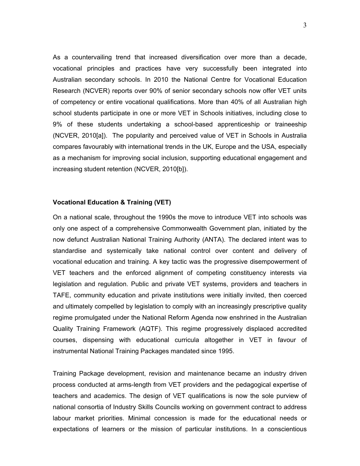As a countervailing trend that increased diversification over more than a decade, vocational principles and practices have very successfully been integrated into Australian secondary schools. In 2010 the National Centre for Vocational Education Research (NCVER) reports over 90% of senior secondary schools now offer VET units of competency or entire vocational qualifications. More than 40% of all Australian high school students participate in one or more VET in Schools initiatives, including close to 9% of these students undertaking a school-based apprenticeship or traineeship (NCVER, 2010[a]). The popularity and perceived value of VET in Schools in Australia compares favourably with international trends in the UK, Europe and the USA, especially as a mechanism for improving social inclusion, supporting educational engagement and increasing student retention (NCVER, 2010[b]).

### **Vocational Education & Training (VET)**

On a national scale, throughout the 1990s the move to introduce VET into schools was only one aspect of a comprehensive Commonwealth Government plan, initiated by the now defunct Australian National Training Authority (ANTA). The declared intent was to standardise and systemically take national control over content and delivery of vocational education and training. A key tactic was the progressive disempowerment of VET teachers and the enforced alignment of competing constituency interests via legislation and regulation. Public and private VET systems, providers and teachers in TAFE, community education and private institutions were initially invited, then coerced and ultimately compelled by legislation to comply with an increasingly prescriptive quality regime promulgated under the National Reform Agenda now enshrined in the Australian Quality Training Framework (AQTF). This regime progressively displaced accredited courses, dispensing with educational curricula altogether in VET in favour of instrumental National Training Packages mandated since 1995.

Training Package development, revision and maintenance became an industry driven process conducted at arms-length from VET providers and the pedagogical expertise of teachers and academics. The design of VET qualifications is now the sole purview of national consortia of Industry Skills Councils working on government contract to address labour market priorities. Minimal concession is made for the educational needs or expectations of learners or the mission of particular institutions. In a conscientious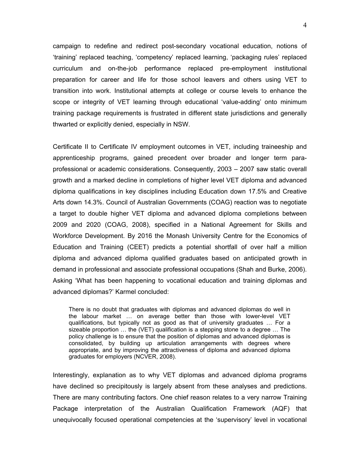campaign to redefine and redirect post-secondary vocational education, notions of 'training' replaced teaching, 'competency' replaced learning, 'packaging rules' replaced curriculum and on-the-job performance replaced pre-employment institutional preparation for career and life for those school leavers and others using VET to transition into work. Institutional attempts at college or course levels to enhance the scope or integrity of VET learning through educational 'value-adding' onto minimum training package requirements is frustrated in different state jurisdictions and generally thwarted or explicitly denied, especially in NSW.

Certificate II to Certificate IV employment outcomes in VET, including traineeship and apprenticeship programs, gained precedent over broader and longer term paraprofessional or academic considerations. Consequently, 2003 – 2007 saw static overall growth and a marked decline in completions of higher level VET diploma and advanced diploma qualifications in key disciplines including Education down 17.5% and Creative Arts down 14.3%. Council of Australian Governments (COAG) reaction was to negotiate a target to double higher VET diploma and advanced diploma completions between 2009 and 2020 (COAG, 2008), specified in a National Agreement for Skills and Workforce Development. By 2016 the Monash University Centre for the Economics of Education and Training (CEET) predicts a potential shortfall of over half a million diploma and advanced diploma qualified graduates based on anticipated growth in demand in professional and associate professional occupations (Shah and Burke, 2006). Asking 'What has been happening to vocational education and training diplomas and advanced diplomas?' Karmel concluded:

There is no doubt that graduates with diplomas and advanced diplomas do well in the labour market … on average better than those with lower-level VET qualifications, but typically not as good as that of university graduates … For a sizeable proportion … the (VET) qualification is a stepping stone to a degree … The policy challenge is to ensure that the position of diplomas and advanced diplomas is consolidated, by building up articulation arrangements with degrees where appropriate, and by improving the attractiveness of diploma and advanced diploma graduates for employers (NCVER, 2008).

Interestingly, explanation as to why VET diplomas and advanced diploma programs have declined so precipitously is largely absent from these analyses and predictions. There are many contributing factors. One chief reason relates to a very narrow Training Package interpretation of the Australian Qualification Framework (AQF) that unequivocally focused operational competencies at the 'supervisory' level in vocational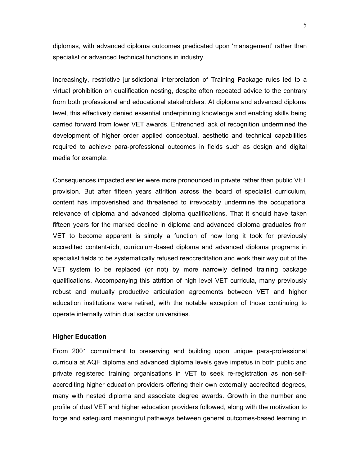diplomas, with advanced diploma outcomes predicated upon 'management' rather than specialist or advanced technical functions in industry.

Increasingly, restrictive jurisdictional interpretation of Training Package rules led to a virtual prohibition on qualification nesting, despite often repeated advice to the contrary from both professional and educational stakeholders. At diploma and advanced diploma level, this effectively denied essential underpinning knowledge and enabling skills being carried forward from lower VET awards. Entrenched lack of recognition undermined the development of higher order applied conceptual, aesthetic and technical capabilities required to achieve para-professional outcomes in fields such as design and digital media for example.

Consequences impacted earlier were more pronounced in private rather than public VET provision. But after fifteen years attrition across the board of specialist curriculum, content has impoverished and threatened to irrevocably undermine the occupational relevance of diploma and advanced diploma qualifications. That it should have taken fifteen years for the marked decline in diploma and advanced diploma graduates from VET to become apparent is simply a function of how long it took for previously accredited content-rich, curriculum-based diploma and advanced diploma programs in specialist fields to be systematically refused reaccreditation and work their way out of the VET system to be replaced (or not) by more narrowly defined training package qualifications. Accompanying this attrition of high level VET curricula, many previously robust and mutually productive articulation agreements between VET and higher education institutions were retired, with the notable exception of those continuing to operate internally within dual sector universities.

## **Higher Education**

From 2001 commitment to preserving and building upon unique para-professional curricula at AQF diploma and advanced diploma levels gave impetus in both public and private registered training organisations in VET to seek re-registration as non-selfaccrediting higher education providers offering their own externally accredited degrees, many with nested diploma and associate degree awards. Growth in the number and profile of dual VET and higher education providers followed, along with the motivation to forge and safeguard meaningful pathways between general outcomes-based learning in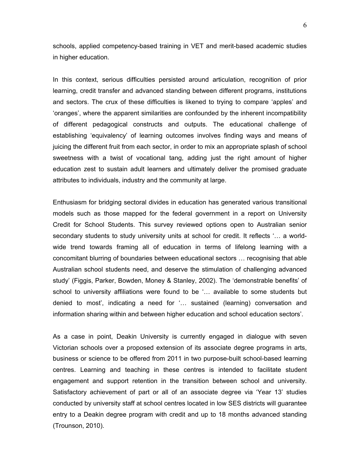schools, applied competency-based training in VET and merit-based academic studies in higher education.

In this context, serious difficulties persisted around articulation, recognition of prior learning, credit transfer and advanced standing between different programs, institutions and sectors. The crux of these difficulties is likened to trying to compare 'apples' and 'oranges', where the apparent similarities are confounded by the inherent incompatibility of different pedagogical constructs and outputs. The educational challenge of establishing 'equivalency' of learning outcomes involves finding ways and means of juicing the different fruit from each sector, in order to mix an appropriate splash of school sweetness with a twist of vocational tang, adding just the right amount of higher education zest to sustain adult learners and ultimately deliver the promised graduate attributes to individuals, industry and the community at large.

Enthusiasm for bridging sectoral divides in education has generated various transitional models such as those mapped for the federal government in a report on University Credit for School Students. This survey reviewed options open to Australian senior secondary students to study university units at school for credit. It reflects '… a worldwide trend towards framing all of education in terms of lifelong learning with a concomitant blurring of boundaries between educational sectors … recognising that able Australian school students need, and deserve the stimulation of challenging advanced study' (Figgis, Parker, Bowden, Money & Stanley, 2002). The 'demonstrable benefits' of school to university affiliations were found to be '… available to some students but denied to most', indicating a need for '… sustained (learning) conversation and information sharing within and between higher education and school education sectors'.

As a case in point, Deakin University is currently engaged in dialogue with seven Victorian schools over a proposed extension of its associate degree programs in arts, business or science to be offered from 2011 in two purpose-built school-based learning centres. Learning and teaching in these centres is intended to facilitate student engagement and support retention in the transition between school and university. Satisfactory achievement of part or all of an associate degree via 'Year 13' studies conducted by university staff at school centres located in low SES districts will guarantee entry to a Deakin degree program with credit and up to 18 months advanced standing (Trounson, 2010).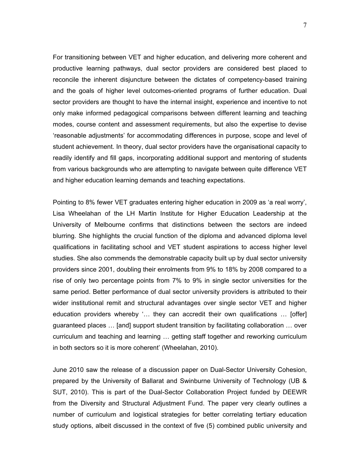For transitioning between VET and higher education, and delivering more coherent and productive learning pathways, dual sector providers are considered best placed to reconcile the inherent disjuncture between the dictates of competency-based training and the goals of higher level outcomes-oriented programs of further education. Dual sector providers are thought to have the internal insight, experience and incentive to not only make informed pedagogical comparisons between different learning and teaching modes, course content and assessment requirements, but also the expertise to devise 'reasonable adjustments' for accommodating differences in purpose, scope and level of student achievement. In theory, dual sector providers have the organisational capacity to readily identify and fill gaps, incorporating additional support and mentoring of students from various backgrounds who are attempting to navigate between quite difference VET and higher education learning demands and teaching expectations.

Pointing to 8% fewer VET graduates entering higher education in 2009 as 'a real worry', Lisa Wheelahan of the LH Martin Institute for Higher Education Leadership at the University of Melbourne confirms that distinctions between the sectors are indeed blurring. She highlights the crucial function of the diploma and advanced diploma level qualifications in facilitating school and VET student aspirations to access higher level studies. She also commends the demonstrable capacity built up by dual sector university providers since 2001, doubling their enrolments from 9% to 18% by 2008 compared to a rise of only two percentage points from 7% to 9% in single sector universities for the same period. Better performance of dual sector university providers is attributed to their wider institutional remit and structural advantages over single sector VET and higher education providers whereby '… they can accredit their own qualifications … [offer] guaranteed places … [and] support student transition by facilitating collaboration … over curriculum and teaching and learning … getting staff together and reworking curriculum in both sectors so it is more coherent' (Wheelahan, 2010).

June 2010 saw the release of a discussion paper on Dual-Sector University Cohesion, prepared by the University of Ballarat and Swinburne University of Technology (UB & SUT, 2010). This is part of the Dual-Sector Collaboration Project funded by DEEWR from the Diversity and Structural Adjustment Fund. The paper very clearly outlines a number of curriculum and logistical strategies for better correlating tertiary education study options, albeit discussed in the context of five (5) combined public university and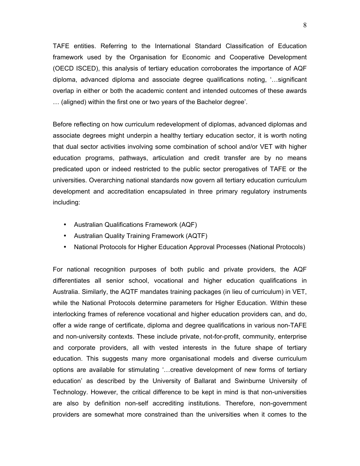TAFE entities. Referring to the International Standard Classification of Education framework used by the Organisation for Economic and Cooperative Development (OECD ISCED), this analysis of tertiary education corroborates the importance of AQF diploma, advanced diploma and associate degree qualifications noting, '…significant overlap in either or both the academic content and intended outcomes of these awards … (aligned) within the first one or two years of the Bachelor degree'.

Before reflecting on how curriculum redevelopment of diplomas, advanced diplomas and associate degrees might underpin a healthy tertiary education sector, it is worth noting that dual sector activities involving some combination of school and/or VET with higher education programs, pathways, articulation and credit transfer are by no means predicated upon or indeed restricted to the public sector prerogatives of TAFE or the universities. Overarching national standards now govern all tertiary education curriculum development and accreditation encapsulated in three primary regulatory instruments including:

- Australian Qualifications Framework (AQF)
- Australian Quality Training Framework (AQTF)
- National Protocols for Higher Education Approval Processes (National Protocols)

For national recognition purposes of both public and private providers, the AQF differentiates all senior school, vocational and higher education qualifications in Australia. Similarly, the AQTF mandates training packages (in lieu of curriculum) in VET, while the National Protocols determine parameters for Higher Education. Within these interlocking frames of reference vocational and higher education providers can, and do, offer a wide range of certificate, diploma and degree qualifications in various non-TAFE and non-university contexts. These include private, not-for-profit, community, enterprise and corporate providers, all with vested interests in the future shape of tertiary education. This suggests many more organisational models and diverse curriculum options are available for stimulating '…creative development of new forms of tertiary education' as described by the University of Ballarat and Swinburne University of Technology. However, the critical difference to be kept in mind is that non-universities are also by definition non-self accrediting institutions. Therefore, non-government providers are somewhat more constrained than the universities when it comes to the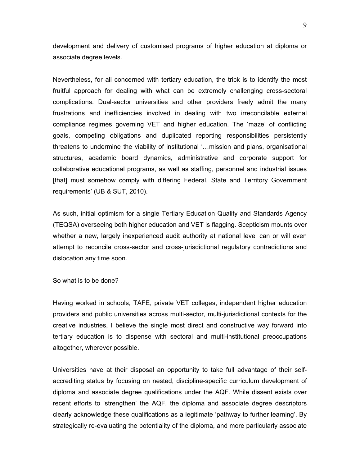development and delivery of customised programs of higher education at diploma or associate degree levels.

Nevertheless, for all concerned with tertiary education, the trick is to identify the most fruitful approach for dealing with what can be extremely challenging cross-sectoral complications. Dual-sector universities and other providers freely admit the many frustrations and inefficiencies involved in dealing with two irreconcilable external compliance regimes governing VET and higher education. The 'maze' of conflicting goals, competing obligations and duplicated reporting responsibilities persistently threatens to undermine the viability of institutional '…mission and plans, organisational structures, academic board dynamics, administrative and corporate support for collaborative educational programs, as well as staffing, personnel and industrial issues [that] must somehow comply with differing Federal, State and Territory Government requirements' (UB & SUT, 2010).

As such, initial optimism for a single Tertiary Education Quality and Standards Agency (TEQSA) overseeing both higher education and VET is flagging. Scepticism mounts over whether a new, largely inexperienced audit authority at national level can or will even attempt to reconcile cross-sector and cross-jurisdictional regulatory contradictions and dislocation any time soon.

So what is to be done?

Having worked in schools, TAFE, private VET colleges, independent higher education providers and public universities across multi-sector, multi-jurisdictional contexts for the creative industries, I believe the single most direct and constructive way forward into tertiary education is to dispense with sectoral and multi-institutional preoccupations altogether, wherever possible.

Universities have at their disposal an opportunity to take full advantage of their selfaccrediting status by focusing on nested, discipline-specific curriculum development of diploma and associate degree qualifications under the AQF. While dissent exists over recent efforts to 'strengthen' the AQF, the diploma and associate degree descriptors clearly acknowledge these qualifications as a legitimate 'pathway to further learning'. By strategically re-evaluating the potentiality of the diploma, and more particularly associate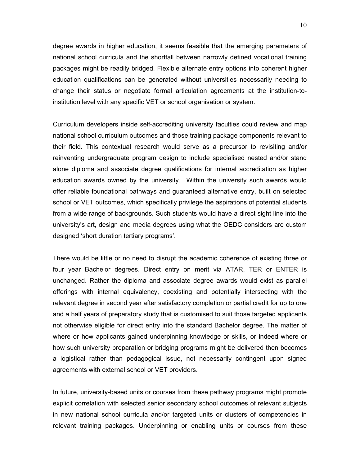degree awards in higher education, it seems feasible that the emerging parameters of national school curricula and the shortfall between narrowly defined vocational training packages might be readily bridged. Flexible alternate entry options into coherent higher education qualifications can be generated without universities necessarily needing to change their status or negotiate formal articulation agreements at the institution-toinstitution level with any specific VET or school organisation or system.

Curriculum developers inside self-accrediting university faculties could review and map national school curriculum outcomes and those training package components relevant to their field. This contextual research would serve as a precursor to revisiting and/or reinventing undergraduate program design to include specialised nested and/or stand alone diploma and associate degree qualifications for internal accreditation as higher education awards owned by the university. Within the university such awards would offer reliable foundational pathways and guaranteed alternative entry, built on selected school or VET outcomes, which specifically privilege the aspirations of potential students from a wide range of backgrounds. Such students would have a direct sight line into the university's art, design and media degrees using what the OEDC considers are custom designed 'short duration tertiary programs'.

There would be little or no need to disrupt the academic coherence of existing three or four year Bachelor degrees. Direct entry on merit via ATAR, TER or ENTER is unchanged. Rather the diploma and associate degree awards would exist as parallel offerings with internal equivalency, coexisting and potentially intersecting with the relevant degree in second year after satisfactory completion or partial credit for up to one and a half years of preparatory study that is customised to suit those targeted applicants not otherwise eligible for direct entry into the standard Bachelor degree. The matter of where or how applicants gained underpinning knowledge or skills, or indeed where or how such university preparation or bridging programs might be delivered then becomes a logistical rather than pedagogical issue, not necessarily contingent upon signed agreements with external school or VET providers.

In future, university-based units or courses from these pathway programs might promote explicit correlation with selected senior secondary school outcomes of relevant subjects in new national school curricula and/or targeted units or clusters of competencies in relevant training packages. Underpinning or enabling units or courses from these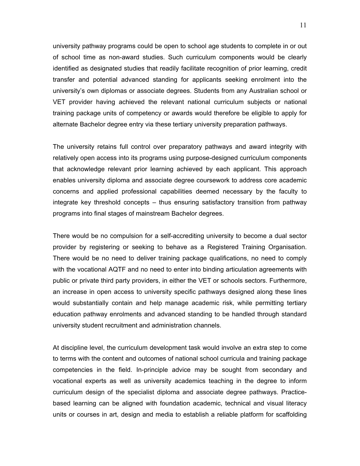university pathway programs could be open to school age students to complete in or out of school time as non-award studies. Such curriculum components would be clearly identified as designated studies that readily facilitate recognition of prior learning, credit transfer and potential advanced standing for applicants seeking enrolment into the university's own diplomas or associate degrees. Students from any Australian school or VET provider having achieved the relevant national curriculum subjects or national training package units of competency or awards would therefore be eligible to apply for alternate Bachelor degree entry via these tertiary university preparation pathways.

The university retains full control over preparatory pathways and award integrity with relatively open access into its programs using purpose-designed curriculum components that acknowledge relevant prior learning achieved by each applicant. This approach enables university diploma and associate degree coursework to address core academic concerns and applied professional capabilities deemed necessary by the faculty to integrate key threshold concepts – thus ensuring satisfactory transition from pathway programs into final stages of mainstream Bachelor degrees.

There would be no compulsion for a self-accrediting university to become a dual sector provider by registering or seeking to behave as a Registered Training Organisation. There would be no need to deliver training package qualifications, no need to comply with the vocational AQTF and no need to enter into binding articulation agreements with public or private third party providers, in either the VET or schools sectors. Furthermore, an increase in open access to university specific pathways designed along these lines would substantially contain and help manage academic risk, while permitting tertiary education pathway enrolments and advanced standing to be handled through standard university student recruitment and administration channels.

At discipline level, the curriculum development task would involve an extra step to come to terms with the content and outcomes of national school curricula and training package competencies in the field. In-principle advice may be sought from secondary and vocational experts as well as university academics teaching in the degree to inform curriculum design of the specialist diploma and associate degree pathways. Practicebased learning can be aligned with foundation academic, technical and visual literacy units or courses in art, design and media to establish a reliable platform for scaffolding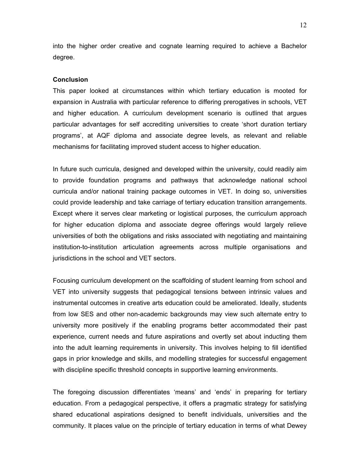into the higher order creative and cognate learning required to achieve a Bachelor degree.

#### **Conclusion**

This paper looked at circumstances within which tertiary education is mooted for expansion in Australia with particular reference to differing prerogatives in schools, VET and higher education. A curriculum development scenario is outlined that argues particular advantages for self accrediting universities to create 'short duration tertiary programs', at AQF diploma and associate degree levels, as relevant and reliable mechanisms for facilitating improved student access to higher education.

In future such curricula, designed and developed within the university, could readily aim to provide foundation programs and pathways that acknowledge national school curricula and/or national training package outcomes in VET. In doing so, universities could provide leadership and take carriage of tertiary education transition arrangements. Except where it serves clear marketing or logistical purposes, the curriculum approach for higher education diploma and associate degree offerings would largely relieve universities of both the obligations and risks associated with negotiating and maintaining institution-to-institution articulation agreements across multiple organisations and jurisdictions in the school and VET sectors.

Focusing curriculum development on the scaffolding of student learning from school and VET into university suggests that pedagogical tensions between intrinsic values and instrumental outcomes in creative arts education could be ameliorated. Ideally, students from low SES and other non-academic backgrounds may view such alternate entry to university more positively if the enabling programs better accommodated their past experience, current needs and future aspirations and overtly set about inducting them into the adult learning requirements in university. This involves helping to fill identified gaps in prior knowledge and skills, and modelling strategies for successful engagement with discipline specific threshold concepts in supportive learning environments.

The foregoing discussion differentiates 'means' and 'ends' in preparing for tertiary education. From a pedagogical perspective, it offers a pragmatic strategy for satisfying shared educational aspirations designed to benefit individuals, universities and the community. It places value on the principle of tertiary education in terms of what Dewey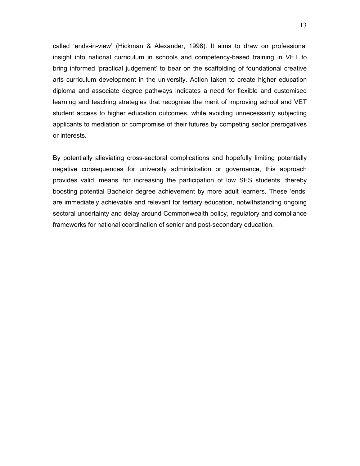called 'ends-in-view' (Hickman & Alexander, 1998). It aims to draw on professional insight into national curriculum in schools and competency-based training in VET to bring informed 'practical judgement' to bear on the scaffolding of foundational creative arts curriculum development in the university. Action taken to create higher education diploma and associate degree pathways indicates a need for flexible and customised learning and teaching strategies that recognise the merit of improving school and VET student access to higher education outcomes, while avoiding unnecessarily subjecting applicants to mediation or compromise of their futures by competing sector prerogatives or interests.

By potentially alleviating cross-sectoral complications and hopefully limiting potentially negative consequences for university administration or governance, this approach provides valid 'means' for increasing the participation of low SES students, thereby boosting potential Bachelor degree achievement by more adult learners. These 'ends' are immediately achievable and relevant for tertiary education, notwithstanding ongoing sectoral uncertainty and delay around Commonwealth policy, regulatory and compliance frameworks for national coordination of senior and post-secondary education.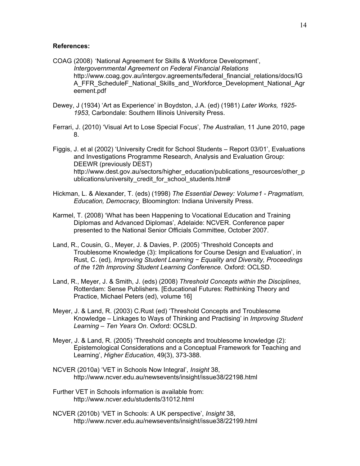### **References:**

- COAG (2008) 'National Agreement for Skills & Workforce Development', *Intergovernmental Agreement on Federal Financial Relations* http://www.coag.gov.au/intergov.agreements/federal\_financial\_relations/docs/IG A\_FFR\_ScheduleF\_National\_Skills\_and\_Workforce\_Development\_National\_Agr eement.pdf
- Dewey, J (1934) 'Art as Experience' in Boydston, J.A. (ed) (1981) *Later Works, 1925- 1953*, Carbondale: Southern Illinois University Press.
- Ferrari, J. (2010) 'Visual Art to Lose Special Focus', *The Australian*, 11 June 2010, page 8.
- Figgis, J. et al (2002) 'University Credit for School Students Report 03/01', Evaluations and Investigations Programme Research, Analysis and Evaluation Group: DEEWR (previously DEST) http://www.dest.gov.au/sectors/higher\_education/publications\_resources/other\_p ublications/university\_credit\_for\_school\_students.htm#
- Hickman, L. & Alexander, T. (eds) (1998) *The Essential Dewey: Volume1 Pragmatism, Education, Democracy,* Bloomington: Indiana University Press.
- Karmel, T. (2008) 'What has been Happening to Vocational Education and Training Diplomas and Advanced Diplomas', Adelaide: NCVER. Conference paper presented to the National Senior Officials Committee, October 2007.
- Land, R., Cousin, G., Meyer, J. & Davies, P. (2005) 'Threshold Concepts and Troublesome Knowledge (3): Implications for Course Design and Evaluation', in Rust, C. (ed)*, Improving Student Learning − Equality and Diversity, Proceedings of the 12th Improving Student Learning Conference.* Oxford: OCLSD.
- Land, R., Meyer, J. & Smith, J. (eds) (2008) *Threshold Concepts within the Disciplines*, Rotterdam: Sense Publishers. [Educational Futures: Rethinking Theory and Practice, Michael Peters (ed), volume 16]
- Meyer, J. & Land, R. (2003) C.Rust (ed) 'Threshold Concepts and Troublesome Knowledge – Linkages to Ways of Thinking and Practising' in *Improving Student Learning – Ten Years On*. Oxford: OCSLD.
- Meyer, J. & Land, R. (2005) 'Threshold concepts and troublesome knowledge (2): Epistemological Considerations and a Conceptual Framework for Teaching and Learning', *Higher Education*, 49(3), 373-388.
- NCVER (2010a) 'VET in Schools Now Integral', *Insight* 38, http://www.ncver.edu.au/newsevents/insight/issue38/22198.html
- Further VET in Schools information is available from: http://www.ncver.edu/students/31012.html
- NCVER (2010b) 'VET in Schools: A UK perspective', *Insight* 38, http://www.ncver.edu.au/newsevents/insight/issue38/22199.html